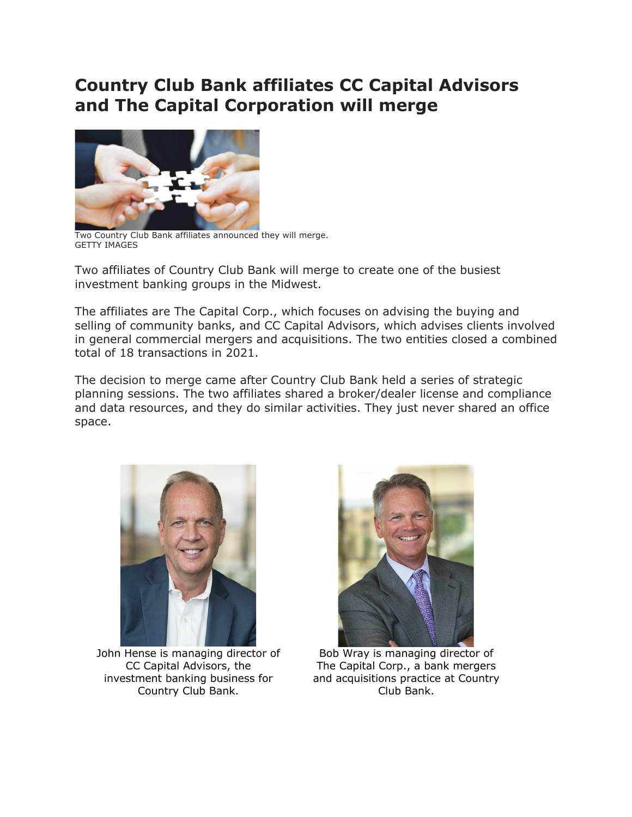## **Country Club Bank affiliates CC Capital Advisors and The Capital Corporation will merge**



Two Country Club Bank affiliates announced they will merge. GETTY IMAGES

Two affiliates of Country Club Bank will merge to create one of the busiest investment banking groups in the Midwest.

The affiliates are The Capital Corp., which focuses on advising the buying and selling of community banks, and CC Capital Advisors, which advises clients involved in general commercial mergers and acquisitions. The two entities closed a combined total of 18 transactions in 2021.

The decision to merge came after Country Club Bank held a series of strategic planning sessions. The two affiliates shared a broker/dealer license and compliance and data resources, and they do similar activities. They just never shared an office space.



John Hense is managing director of CC Capital Advisors, the investment banking business for Country Club Bank.



Bob Wray is managing director of The Capital Corp., a bank mergers and acquisitions practice at Country Club Bank.